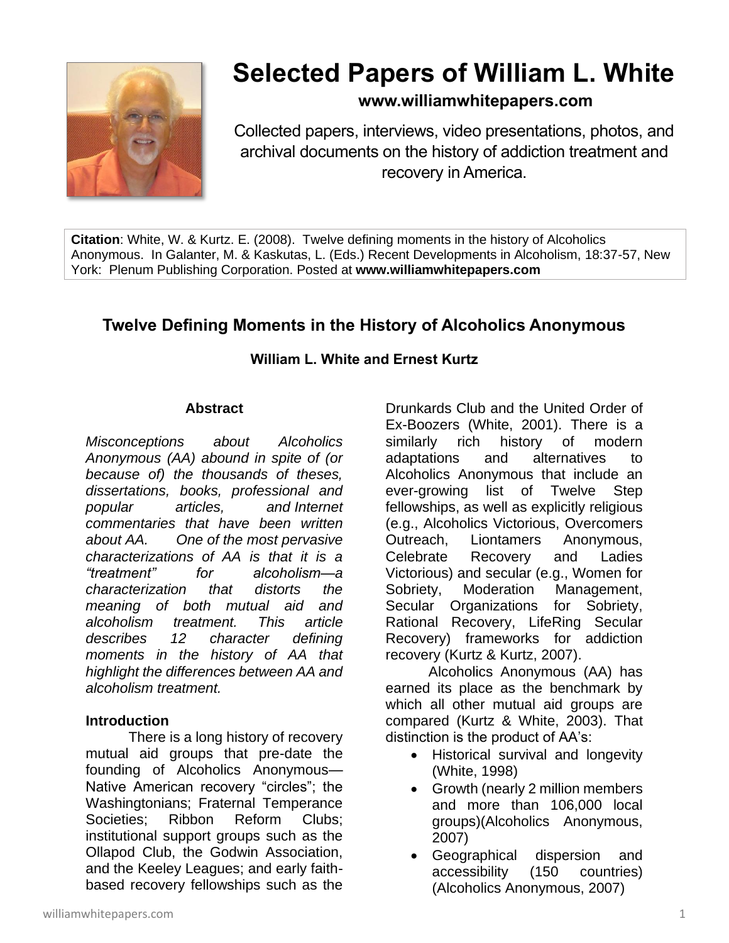

# **Selected Papers of William L. White**

# **www.williamwhitepapers.com**

Collected papers, interviews, video presentations, photos, and archival documents on the history of addiction treatment and recovery in America.

**Citation**: White, W. & Kurtz. E. (2008). Twelve defining moments in the history of Alcoholics Anonymous. In Galanter, M. & Kaskutas, L. (Eds.) Recent Developments in Alcoholism, 18:37-57, New York: Plenum Publishing Corporation. Posted at **www.williamwhitepapers.com**

# **Twelve Defining Moments in the History of Alcoholics Anonymous**

# **William L. White and Ernest Kurtz**

## **Abstract**

*Misconceptions about Alcoholics Anonymous (AA) abound in spite of (or because of) the thousands of theses, dissertations, books, professional and popular articles, and Internet commentaries that have been written about AA. One of the most pervasive characterizations of AA is that it is a "treatment" for alcoholism—a characterization that distorts the meaning of both mutual aid and alcoholism treatment. This article describes 12 character defining moments in the history of AA that highlight the differences between AA and alcoholism treatment.* 

#### **Introduction**

There is a long history of recovery mutual aid groups that pre-date the founding of Alcoholics Anonymous— Native American recovery "circles"; the Washingtonians; Fraternal Temperance Societies; Ribbon Reform Clubs; institutional support groups such as the Ollapod Club, the Godwin Association, and the Keeley Leagues; and early faithbased recovery fellowships such as the

Drunkards Club and the United Order of Ex-Boozers (White, 2001). There is a similarly rich history of modern adaptations and alternatives to Alcoholics Anonymous that include an ever-growing list of Twelve Step fellowships, as well as explicitly religious (e.g., Alcoholics Victorious, Overcomers Outreach, Liontamers Anonymous, Celebrate Recovery and Ladies Victorious) and secular (e.g., Women for Sobriety, Moderation Management, Secular Organizations for Sobriety, Rational Recovery, LifeRing Secular Recovery) frameworks for addiction recovery (Kurtz & Kurtz, 2007).

Alcoholics Anonymous (AA) has earned its place as the benchmark by which all other mutual aid groups are compared (Kurtz & White, 2003). That distinction is the product of AA's:

- Historical survival and longevity (White, 1998)
- Growth (nearly 2 million members and more than 106,000 local groups)(Alcoholics Anonymous, 2007)
- Geographical dispersion and accessibility (150 countries) (Alcoholics Anonymous, 2007)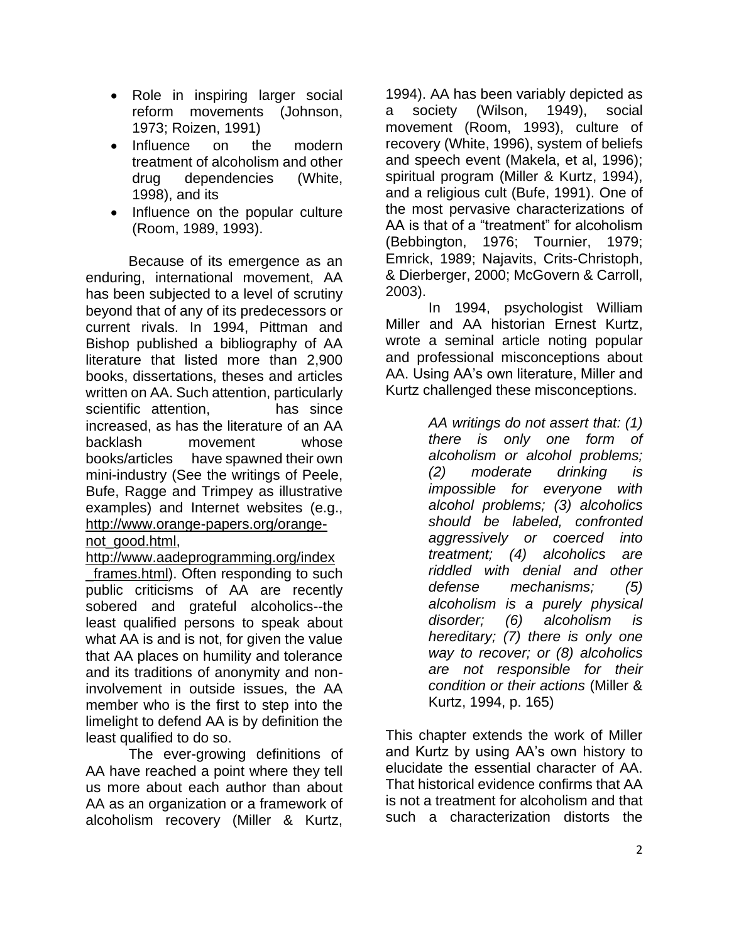- Role in inspiring larger social reform movements (Johnson, 1973; Roizen, 1991)
- Influence on the modern treatment of alcoholism and other drug dependencies (White, 1998), and its
- Influence on the popular culture (Room, 1989, 1993).

Because of its emergence as an enduring, international movement, AA has been subjected to a level of scrutiny beyond that of any of its predecessors or current rivals. In 1994, Pittman and Bishop published a bibliography of AA literature that listed more than 2,900 books, dissertations, theses and articles written on AA. Such attention, particularly scientific attention, has since increased, as has the literature of an AA backlash movement whose books/articles have spawned their own mini-industry (See the writings of Peele, Bufe, Ragge and Trimpey as illustrative examples) and Internet websites (e.g., [http://www.orange-papers.org/orange](http://www.orange-papers.org/orange-not_good.html)[not\\_good.html,](http://www.orange-papers.org/orange-not_good.html)

[http://www.aadeprogramming.org/index](http://www.aadeprogramming.org/index_frames.html)

frames.html). Often responding to such public criticisms of AA are recently sobered and grateful alcoholics--the least qualified persons to speak about what AA is and is not, for given the value that AA places on humility and tolerance and its traditions of anonymity and noninvolvement in outside issues, the AA member who is the first to step into the limelight to defend AA is by definition the least qualified to do so.

The ever-growing definitions of AA have reached a point where they tell us more about each author than about AA as an organization or a framework of alcoholism recovery (Miller & Kurtz,

1994). AA has been variably depicted as a society (Wilson, 1949), social movement (Room, 1993), culture of recovery (White, 1996), system of beliefs and speech event (Makela, et al, 1996); spiritual program (Miller & Kurtz, 1994), and a religious cult (Bufe, 1991). One of the most pervasive characterizations of AA is that of a "treatment" for alcoholism (Bebbington, 1976; Tournier, 1979; Emrick, 1989; Najavits, Crits-Christoph, & Dierberger, 2000; McGovern & Carroll, 2003).

In 1994, psychologist William Miller and AA historian Ernest Kurtz, wrote a seminal article noting popular and professional misconceptions about AA. Using AA's own literature, Miller and Kurtz challenged these misconceptions.

> *AA writings do not assert that: (1) there is only one form of alcoholism or alcohol problems; (2) moderate drinking is impossible for everyone with alcohol problems; (3) alcoholics should be labeled, confronted aggressively or coerced into treatment; (4) alcoholics are riddled with denial and other defense mechanisms; (5) alcoholism is a purely physical disorder; (6) alcoholism is hereditary; (7) there is only one way to recover; or (8) alcoholics are not responsible for their condition or their actions* (Miller & Kurtz, 1994, p. 165)

This chapter extends the work of Miller and Kurtz by using AA's own history to elucidate the essential character of AA. That historical evidence confirms that AA is not a treatment for alcoholism and that such a characterization distorts the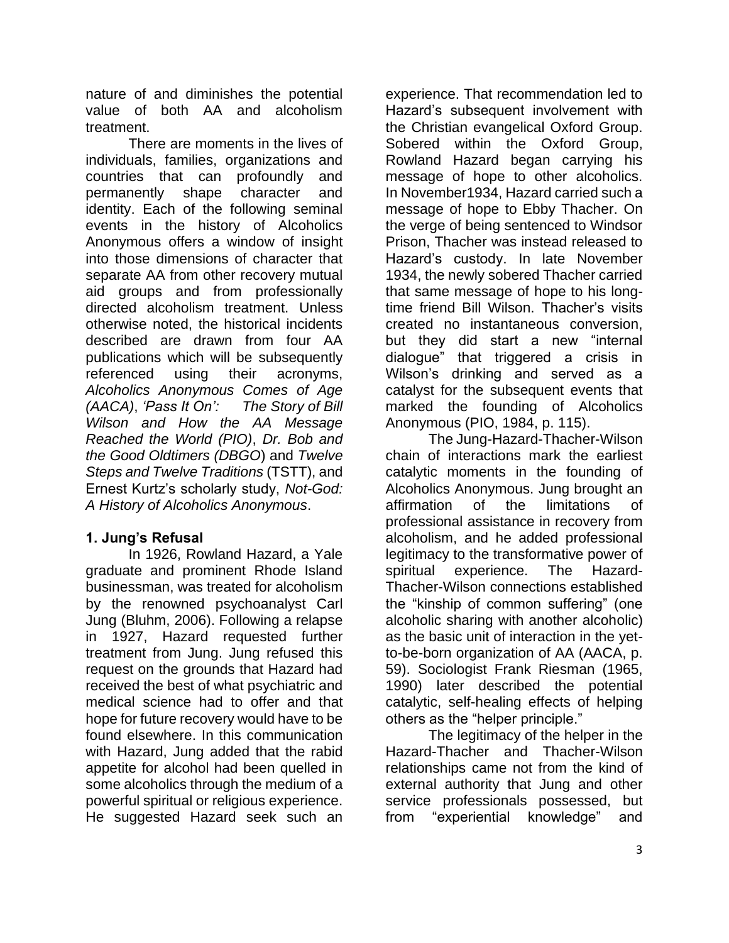nature of and diminishes the potential value of both AA and alcoholism treatment.

There are moments in the lives of individuals, families, organizations and countries that can profoundly and permanently shape character and identity. Each of the following seminal events in the history of Alcoholics Anonymous offers a window of insight into those dimensions of character that separate AA from other recovery mutual aid groups and from professionally directed alcoholism treatment. Unless otherwise noted, the historical incidents described are drawn from four AA publications which will be subsequently referenced using their acronyms, *Alcoholics Anonymous Comes of Age (AACA)*, *'Pass It On': The Story of Bill Wilson and How the AA Message Reached the World (PIO)*, *Dr. Bob and the Good Oldtimers (DBGO*) and *Twelve Steps and Twelve Traditions* (TSTT), and Ernest Kurtz's scholarly study, *Not-God: A History of Alcoholics Anonymous*.

# **1. Jung's Refusal**

In 1926, Rowland Hazard, a Yale graduate and prominent Rhode Island businessman, was treated for alcoholism by the renowned psychoanalyst Carl Jung (Bluhm, 2006). Following a relapse in 1927, Hazard requested further treatment from Jung. Jung refused this request on the grounds that Hazard had received the best of what psychiatric and medical science had to offer and that hope for future recovery would have to be found elsewhere. In this communication with Hazard, Jung added that the rabid appetite for alcohol had been quelled in some alcoholics through the medium of a powerful spiritual or religious experience. He suggested Hazard seek such an experience. That recommendation led to Hazard's subsequent involvement with the Christian evangelical Oxford Group. Sobered within the Oxford Group, Rowland Hazard began carrying his message of hope to other alcoholics. In November1934, Hazard carried such a message of hope to Ebby Thacher. On the verge of being sentenced to Windsor Prison, Thacher was instead released to Hazard's custody. In late November 1934, the newly sobered Thacher carried that same message of hope to his longtime friend Bill Wilson. Thacher's visits created no instantaneous conversion, but they did start a new "internal dialogue" that triggered a crisis in Wilson's drinking and served as a catalyst for the subsequent events that marked the founding of Alcoholics Anonymous (PIO, 1984, p. 115).

The Jung-Hazard-Thacher-Wilson chain of interactions mark the earliest catalytic moments in the founding of Alcoholics Anonymous. Jung brought an affirmation of the limitations of professional assistance in recovery from alcoholism, and he added professional legitimacy to the transformative power of spiritual experience. The Hazard-Thacher-Wilson connections established the "kinship of common suffering" (one alcoholic sharing with another alcoholic) as the basic unit of interaction in the yetto-be-born organization of AA (AACA, p. 59). Sociologist Frank Riesman (1965, 1990) later described the potential catalytic, self-healing effects of helping others as the "helper principle."

The legitimacy of the helper in the Hazard-Thacher and Thacher-Wilson relationships came not from the kind of external authority that Jung and other service professionals possessed, but from "experiential knowledge" and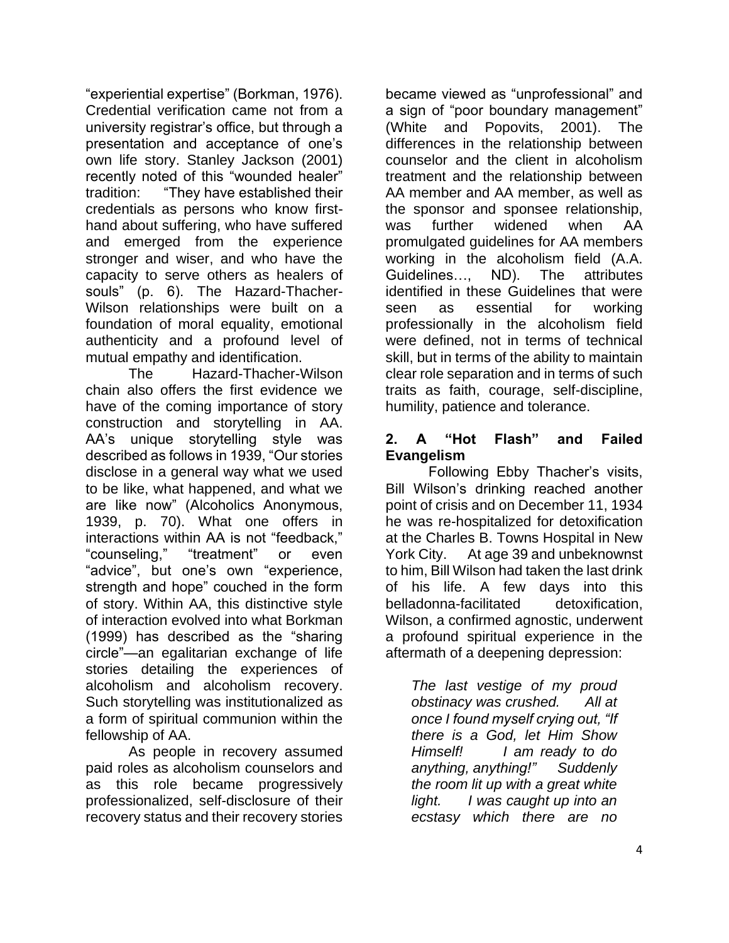"experiential expertise" (Borkman, 1976). Credential verification came not from a university registrar's office, but through a presentation and acceptance of one's own life story. Stanley Jackson (2001) recently noted of this "wounded healer" tradition: "They have established their credentials as persons who know firsthand about suffering, who have suffered and emerged from the experience stronger and wiser, and who have the capacity to serve others as healers of souls" (p. 6). The Hazard-Thacher-Wilson relationships were built on a foundation of moral equality, emotional authenticity and a profound level of mutual empathy and identification.

The Hazard-Thacher-Wilson chain also offers the first evidence we have of the coming importance of story construction and storytelling in AA. AA's unique storytelling style was described as follows in 1939, "Our stories disclose in a general way what we used to be like, what happened, and what we are like now" (Alcoholics Anonymous, 1939, p. 70). What one offers in interactions within AA is not "feedback," "counseling," "treatment" or even "advice", but one's own "experience, strength and hope" couched in the form of story. Within AA, this distinctive style of interaction evolved into what Borkman (1999) has described as the "sharing circle"—an egalitarian exchange of life stories detailing the experiences of alcoholism and alcoholism recovery. Such storytelling was institutionalized as a form of spiritual communion within the fellowship of AA.

As people in recovery assumed paid roles as alcoholism counselors and as this role became progressively professionalized, self-disclosure of their recovery status and their recovery stories

became viewed as "unprofessional" and a sign of "poor boundary management" (White and Popovits, 2001). The differences in the relationship between counselor and the client in alcoholism treatment and the relationship between AA member and AA member, as well as the sponsor and sponsee relationship, was further widened when AA promulgated guidelines for AA members working in the alcoholism field (A.A. Guidelines…, ND). The attributes identified in these Guidelines that were seen as essential for working professionally in the alcoholism field were defined, not in terms of technical skill, but in terms of the ability to maintain clear role separation and in terms of such traits as faith, courage, self-discipline, humility, patience and tolerance.

#### **2. A "Hot Flash" and Failed Evangelism**

Following Ebby Thacher's visits, Bill Wilson's drinking reached another point of crisis and on December 11, 1934 he was re-hospitalized for detoxification at the Charles B. Towns Hospital in New York City. At age 39 and unbeknownst to him, Bill Wilson had taken the last drink of his life. A few days into this belladonna-facilitated detoxification, Wilson, a confirmed agnostic, underwent a profound spiritual experience in the aftermath of a deepening depression:

*The last vestige of my proud obstinacy was crushed. All at once I found myself crying out, "If there is a God, let Him Show Himself! I am ready to do anything, anything!" Suddenly the room lit up with a great white light. I was caught up into an ecstasy which there are no*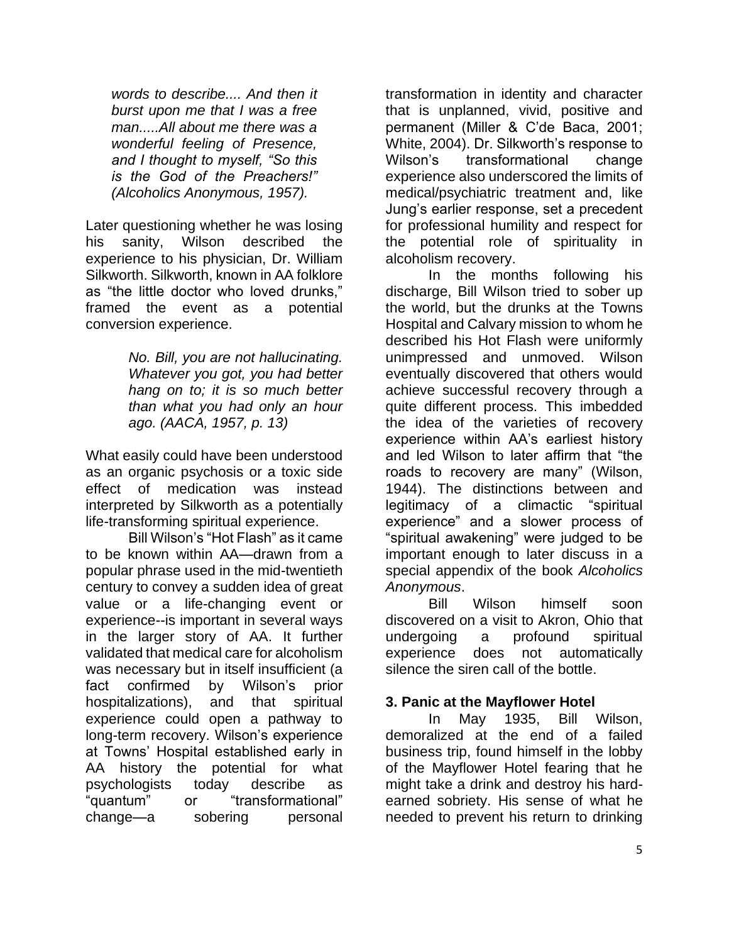*words to describe.... And then it burst upon me that I was a free man.....All about me there was a wonderful feeling of Presence, and I thought to myself, "So this is the God of the Preachers!" (Alcoholics Anonymous, 1957).* 

Later questioning whether he was losing his sanity, Wilson described the experience to his physician, Dr. William Silkworth. Silkworth, known in AA folklore as "the little doctor who loved drunks," framed the event as a potential conversion experience.

> *No. Bill, you are not hallucinating. Whatever you got, you had better hang on to; it is so much better than what you had only an hour ago. (AACA, 1957, p. 13)*

What easily could have been understood as an organic psychosis or a toxic side effect of medication was instead interpreted by Silkworth as a potentially life-transforming spiritual experience.

Bill Wilson's "Hot Flash" as it came to be known within AA—drawn from a popular phrase used in the mid-twentieth century to convey a sudden idea of great value or a life-changing event or experience--is important in several ways in the larger story of AA. It further validated that medical care for alcoholism was necessary but in itself insufficient (a fact confirmed by Wilson's prior hospitalizations), and that spiritual experience could open a pathway to long-term recovery. Wilson's experience at Towns' Hospital established early in AA history the potential for what psychologists today describe as "quantum" or "transformational" change—a sobering personal transformation in identity and character that is unplanned, vivid, positive and permanent (Miller & C'de Baca, 2001; White, 2004). Dr. Silkworth's response to Wilson's transformational change experience also underscored the limits of medical/psychiatric treatment and, like Jung's earlier response, set a precedent for professional humility and respect for the potential role of spirituality in alcoholism recovery.

In the months following his discharge, Bill Wilson tried to sober up the world, but the drunks at the Towns Hospital and Calvary mission to whom he described his Hot Flash were uniformly unimpressed and unmoved. Wilson eventually discovered that others would achieve successful recovery through a quite different process. This imbedded the idea of the varieties of recovery experience within AA's earliest history and led Wilson to later affirm that "the roads to recovery are many" (Wilson, 1944). The distinctions between and legitimacy of a climactic "spiritual experience" and a slower process of "spiritual awakening" were judged to be important enough to later discuss in a special appendix of the book *Alcoholics Anonymous*.

Bill Wilson himself soon discovered on a visit to Akron, Ohio that undergoing a profound spiritual experience does not automatically silence the siren call of the bottle.

# **3. Panic at the Mayflower Hotel**

In May 1935, Bill Wilson, demoralized at the end of a failed business trip, found himself in the lobby of the Mayflower Hotel fearing that he might take a drink and destroy his hardearned sobriety. His sense of what he needed to prevent his return to drinking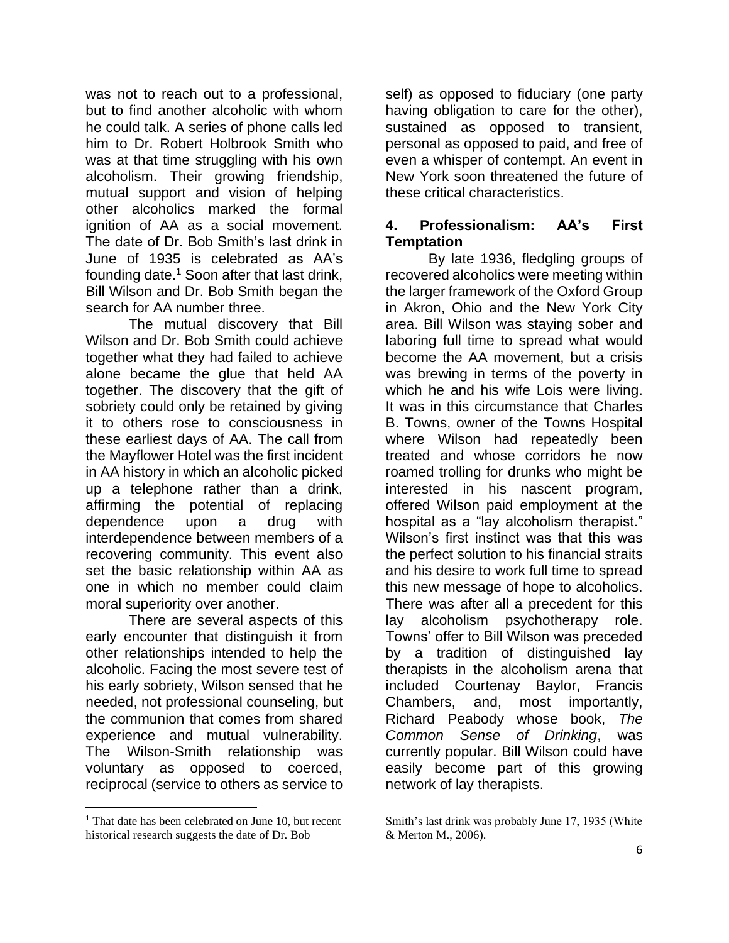was not to reach out to a professional, but to find another alcoholic with whom he could talk. A series of phone calls led him to Dr. Robert Holbrook Smith who was at that time struggling with his own alcoholism. Their growing friendship, mutual support and vision of helping other alcoholics marked the formal ignition of AA as a social movement. The date of Dr. Bob Smith's last drink in June of 1935 is celebrated as AA's founding date. $1$  Soon after that last drink, Bill Wilson and Dr. Bob Smith began the search for AA number three.

The mutual discovery that Bill Wilson and Dr. Bob Smith could achieve together what they had failed to achieve alone became the glue that held AA together. The discovery that the gift of sobriety could only be retained by giving it to others rose to consciousness in these earliest days of AA. The call from the Mayflower Hotel was the first incident in AA history in which an alcoholic picked up a telephone rather than a drink, affirming the potential of replacing dependence upon a drug with interdependence between members of a recovering community. This event also set the basic relationship within AA as one in which no member could claim moral superiority over another.

There are several aspects of this early encounter that distinguish it from other relationships intended to help the alcoholic. Facing the most severe test of his early sobriety, Wilson sensed that he needed, not professional counseling, but the communion that comes from shared experience and mutual vulnerability. The Wilson-Smith relationship was voluntary as opposed to coerced, reciprocal (service to others as service to

<sup>1</sup> That date has been celebrated on June 10, but recent historical research suggests the date of Dr. Bob

self) as opposed to fiduciary (one party having obligation to care for the other), sustained as opposed to transient, personal as opposed to paid, and free of even a whisper of contempt. An event in New York soon threatened the future of these critical characteristics.

#### **4. Professionalism: AA's First Temptation**

By late 1936, fledgling groups of recovered alcoholics were meeting within the larger framework of the Oxford Group in Akron, Ohio and the New York City area. Bill Wilson was staying sober and laboring full time to spread what would become the AA movement, but a crisis was brewing in terms of the poverty in which he and his wife Lois were living. It was in this circumstance that Charles B. Towns, owner of the Towns Hospital where Wilson had repeatedly been treated and whose corridors he now roamed trolling for drunks who might be interested in his nascent program, offered Wilson paid employment at the hospital as a "lay alcoholism therapist." Wilson's first instinct was that this was the perfect solution to his financial straits and his desire to work full time to spread this new message of hope to alcoholics. There was after all a precedent for this lay alcoholism psychotherapy role. Towns' offer to Bill Wilson was preceded by a tradition of distinguished lay therapists in the alcoholism arena that included Courtenay Baylor, Francis Chambers, and, most importantly, Richard Peabody whose book, *The Common Sense of Drinking*, was currently popular. Bill Wilson could have easily become part of this growing network of lay therapists.

Smith's last drink was probably June 17, 1935 (White & Merton M., 2006).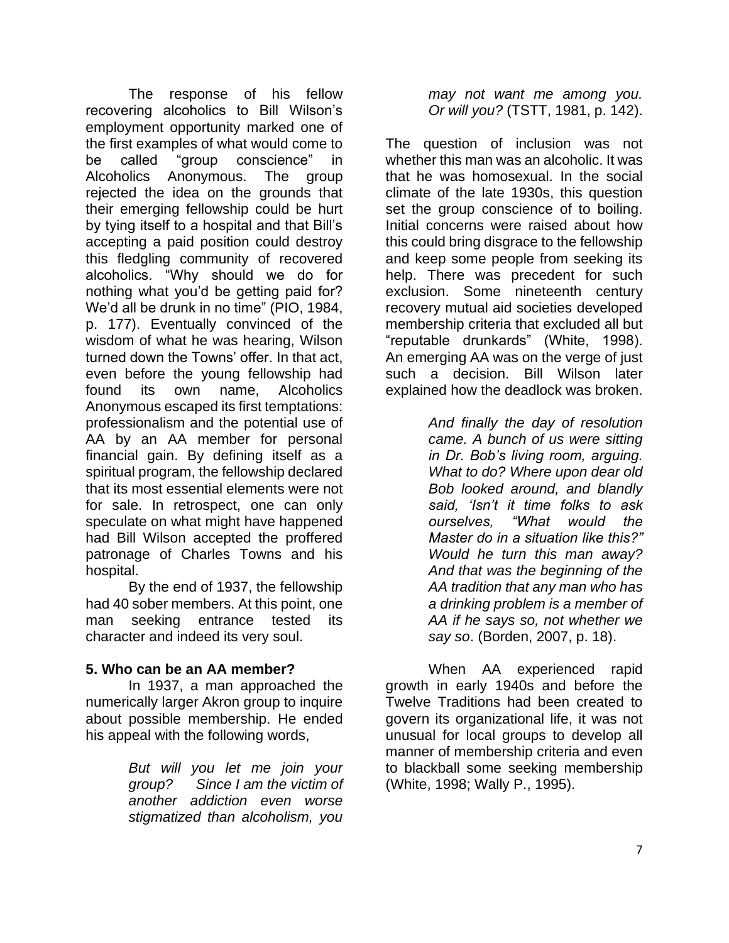The response of his fellow recovering alcoholics to Bill Wilson's employment opportunity marked one of the first examples of what would come to be called "group conscience" in Alcoholics Anonymous. The group rejected the idea on the grounds that their emerging fellowship could be hurt by tying itself to a hospital and that Bill's accepting a paid position could destroy this fledgling community of recovered alcoholics. "Why should we do for nothing what you'd be getting paid for? We'd all be drunk in no time" (PIO, 1984, p. 177). Eventually convinced of the wisdom of what he was hearing, Wilson turned down the Towns' offer. In that act, even before the young fellowship had found its own name, Alcoholics Anonymous escaped its first temptations: professionalism and the potential use of AA by an AA member for personal financial gain. By defining itself as a spiritual program, the fellowship declared that its most essential elements were not for sale. In retrospect, one can only speculate on what might have happened had Bill Wilson accepted the proffered patronage of Charles Towns and his hospital.

 By the end of 1937, the fellowship had 40 sober members. At this point, one man seeking entrance tested its character and indeed its very soul.

# **5. Who can be an AA member?**

In 1937, a man approached the numerically larger Akron group to inquire about possible membership. He ended his appeal with the following words,

> *But will you let me join your group? Since I am the victim of another addiction even worse stigmatized than alcoholism, you*

*may not want me among you. Or will you?* (TSTT, 1981, p. 142).

The question of inclusion was not whether this man was an alcoholic. It was that he was homosexual. In the social climate of the late 1930s, this question set the group conscience of to boiling. Initial concerns were raised about how this could bring disgrace to the fellowship and keep some people from seeking its help. There was precedent for such exclusion. Some nineteenth century recovery mutual aid societies developed membership criteria that excluded all but "reputable drunkards" (White, 1998). An emerging AA was on the verge of just such a decision. Bill Wilson later explained how the deadlock was broken.

> *And finally the day of resolution came. A bunch of us were sitting in Dr. Bob's living room, arguing. What to do? Where upon dear old Bob looked around, and blandly said, 'Isn't it time folks to ask ourselves, "What would the Master do in a situation like this?" Would he turn this man away? And that was the beginning of the AA tradition that any man who has a drinking problem is a member of AA if he says so, not whether we say so*. (Borden, 2007, p. 18).

When AA experienced rapid growth in early 1940s and before the Twelve Traditions had been created to govern its organizational life, it was not unusual for local groups to develop all manner of membership criteria and even to blackball some seeking membership (White, 1998; Wally P., 1995).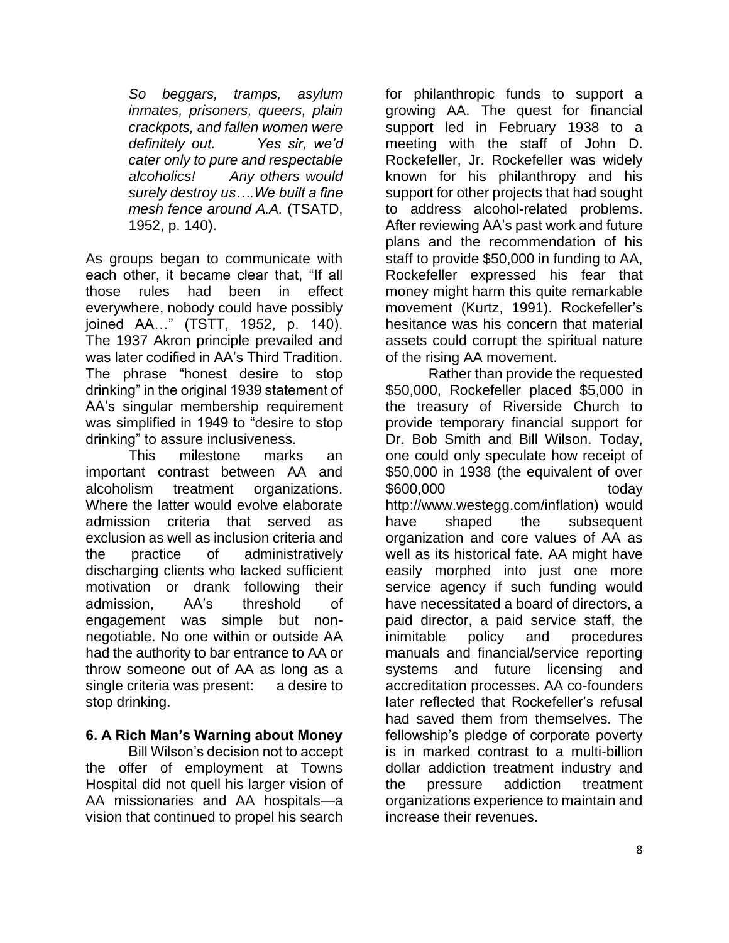*So beggars, tramps, asylum inmates, prisoners, queers, plain crackpots, and fallen women were definitely out. Yes sir, we'd cater only to pure and respectable alcoholics! Any others would surely destroy us….We built a fine mesh fence around A.A.* (TSATD, 1952, p. 140).

As groups began to communicate with each other, it became clear that, "If all those rules had been in effect everywhere, nobody could have possibly joined AA…" (TSTT, 1952, p. 140). The 1937 Akron principle prevailed and was later codified in AA's Third Tradition. The phrase "honest desire to stop drinking" in the original 1939 statement of AA's singular membership requirement was simplified in 1949 to "desire to stop drinking" to assure inclusiveness.

This milestone marks an important contrast between AA and alcoholism treatment organizations. Where the latter would evolve elaborate admission criteria that served as exclusion as well as inclusion criteria and the practice of administratively discharging clients who lacked sufficient motivation or drank following their admission, AA's threshold of engagement was simple but nonnegotiable. No one within or outside AA had the authority to bar entrance to AA or throw someone out of AA as long as a single criteria was present: a desire to stop drinking.

# **6. A Rich Man's Warning about Money**

Bill Wilson's decision not to accept the offer of employment at Towns Hospital did not quell his larger vision of AA missionaries and AA hospitals—a vision that continued to propel his search for philanthropic funds to support a growing AA. The quest for financial support led in February 1938 to a meeting with the staff of John D. Rockefeller, Jr. Rockefeller was widely known for his philanthropy and his support for other projects that had sought to address alcohol-related problems. After reviewing AA's past work and future plans and the recommendation of his staff to provide \$50,000 in funding to AA, Rockefeller expressed his fear that money might harm this quite remarkable movement (Kurtz, 1991). Rockefeller's hesitance was his concern that material assets could corrupt the spiritual nature of the rising AA movement.

Rather than provide the requested \$50,000, Rockefeller placed \$5,000 in the treasury of Riverside Church to provide temporary financial support for Dr. Bob Smith and Bill Wilson. Today, one could only speculate how receipt of \$50,000 in 1938 (the equivalent of over \$600,000 today http://www.westegg.com/inflation) would have shaped the subsequent organization and core values of AA as well as its historical fate. AA might have easily morphed into just one more service agency if such funding would have necessitated a board of directors, a paid director, a paid service staff, the inimitable policy and procedures manuals and financial/service reporting systems and future licensing and accreditation processes. AA co-founders later reflected that Rockefeller's refusal had saved them from themselves. The fellowship's pledge of corporate poverty is in marked contrast to a multi-billion dollar addiction treatment industry and the pressure addiction treatment organizations experience to maintain and increase their revenues.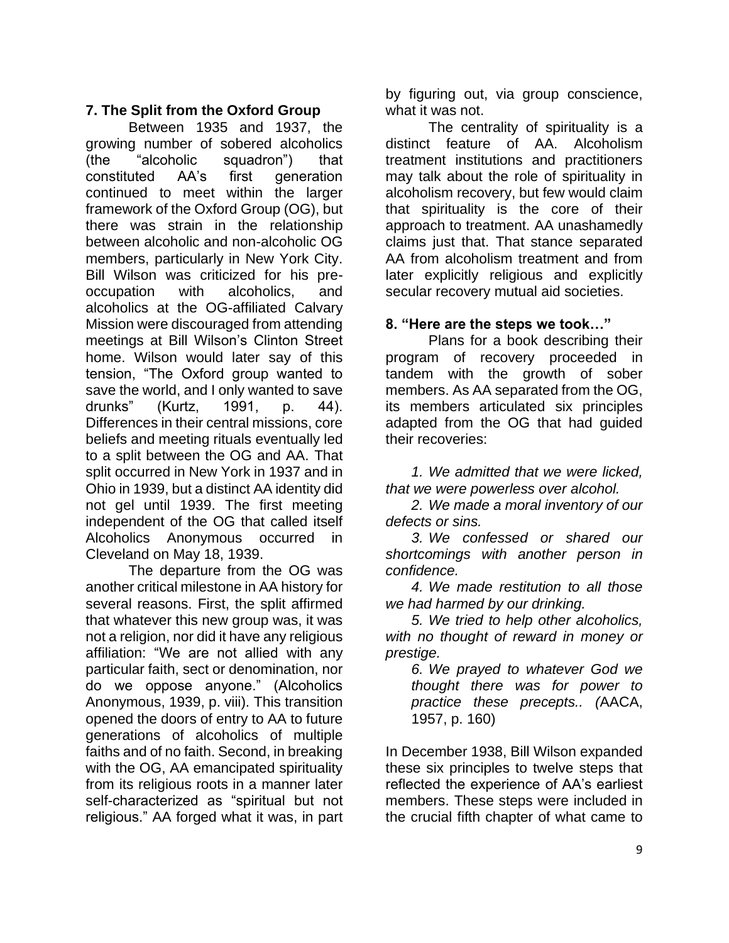# **7. The Split from the Oxford Group**

Between 1935 and 1937, the growing number of sobered alcoholics (the "alcoholic squadron") that constituted AA's first generation continued to meet within the larger framework of the Oxford Group (OG), but there was strain in the relationship between alcoholic and non-alcoholic OG members, particularly in New York City. Bill Wilson was criticized for his preoccupation with alcoholics, and alcoholics at the OG-affiliated Calvary Mission were discouraged from attending meetings at Bill Wilson's Clinton Street home. Wilson would later say of this tension, "The Oxford group wanted to save the world, and I only wanted to save drunks" (Kurtz, 1991, p. 44). Differences in their central missions, core beliefs and meeting rituals eventually led to a split between the OG and AA. That split occurred in New York in 1937 and in Ohio in 1939, but a distinct AA identity did not gel until 1939. The first meeting independent of the OG that called itself Alcoholics Anonymous occurred in Cleveland on May 18, 1939.

The departure from the OG was another critical milestone in AA history for several reasons. First, the split affirmed that whatever this new group was, it was not a religion, nor did it have any religious affiliation: "We are not allied with any particular faith, sect or denomination, nor do we oppose anyone." (Alcoholics Anonymous, 1939, p. viii). This transition opened the doors of entry to AA to future generations of alcoholics of multiple faiths and of no faith. Second, in breaking with the OG, AA emancipated spirituality from its religious roots in a manner later self-characterized as "spiritual but not religious." AA forged what it was, in part by figuring out, via group conscience, what it was not.

The centrality of spirituality is a distinct feature of AA. Alcoholism treatment institutions and practitioners may talk about the role of spirituality in alcoholism recovery, but few would claim that spirituality is the core of their approach to treatment. AA unashamedly claims just that. That stance separated AA from alcoholism treatment and from later explicitly religious and explicitly secular recovery mutual aid societies.

## **8. "Here are the steps we took…"**

Plans for a book describing their program of recovery proceeded in tandem with the growth of sober members. As AA separated from the OG, its members articulated six principles adapted from the OG that had guided their recoveries:

*1. We admitted that we were licked, that we were powerless over alcohol.*

*2. We made a moral inventory of our defects or sins.* 

*3. We confessed or shared our shortcomings with another person in confidence.* 

*4. We made restitution to all those we had harmed by our drinking.* 

*5. We tried to help other alcoholics, with no thought of reward in money or prestige.* 

*6. We prayed to whatever God we thought there was for power to practice these precepts.. (*AACA, 1957, p. 160)

In December 1938, Bill Wilson expanded these six principles to twelve steps that reflected the experience of AA's earliest members. These steps were included in the crucial fifth chapter of what came to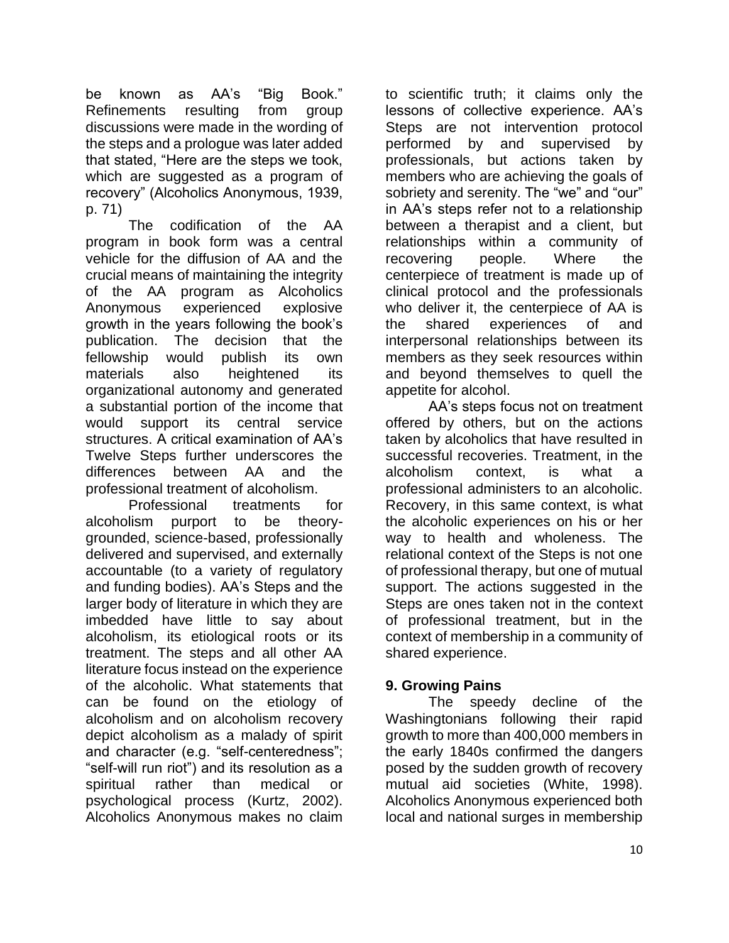be known as AA's "Big Book." Refinements resulting from group discussions were made in the wording of the steps and a prologue was later added that stated, "Here are the steps we took, which are suggested as a program of recovery" (Alcoholics Anonymous, 1939, p. 71)

The codification of the AA program in book form was a central vehicle for the diffusion of AA and the crucial means of maintaining the integrity of the AA program as Alcoholics Anonymous experienced explosive growth in the years following the book's publication. The decision that the fellowship would publish its own materials also heightened its organizational autonomy and generated a substantial portion of the income that would support its central service structures. A critical examination of AA's Twelve Steps further underscores the differences between AA and the professional treatment of alcoholism.

Professional treatments for alcoholism purport to be theorygrounded, science-based, professionally delivered and supervised, and externally accountable (to a variety of regulatory and funding bodies). AA's Steps and the larger body of literature in which they are imbedded have little to say about alcoholism, its etiological roots or its treatment. The steps and all other AA literature focus instead on the experience of the alcoholic. What statements that can be found on the etiology of alcoholism and on alcoholism recovery depict alcoholism as a malady of spirit and character (e.g. "self-centeredness"; "self-will run riot") and its resolution as a spiritual rather than medical or psychological process (Kurtz, 2002). Alcoholics Anonymous makes no claim to scientific truth; it claims only the lessons of collective experience. AA's Steps are not intervention protocol performed by and supervised by professionals, but actions taken by members who are achieving the goals of sobriety and serenity. The "we" and "our" in AA's steps refer not to a relationship between a therapist and a client, but relationships within a community of recovering people. Where the centerpiece of treatment is made up of clinical protocol and the professionals who deliver it, the centerpiece of AA is the shared experiences of and interpersonal relationships between its members as they seek resources within and beyond themselves to quell the appetite for alcohol.

AA's steps focus not on treatment offered by others, but on the actions taken by alcoholics that have resulted in successful recoveries. Treatment, in the alcoholism context, is what a professional administers to an alcoholic. Recovery, in this same context, is what the alcoholic experiences on his or her way to health and wholeness. The relational context of the Steps is not one of professional therapy, but one of mutual support. The actions suggested in the Steps are ones taken not in the context of professional treatment, but in the context of membership in a community of shared experience.

# **9. Growing Pains**

The speedy decline of the Washingtonians following their rapid growth to more than 400,000 members in the early 1840s confirmed the dangers posed by the sudden growth of recovery mutual aid societies (White, 1998). Alcoholics Anonymous experienced both local and national surges in membership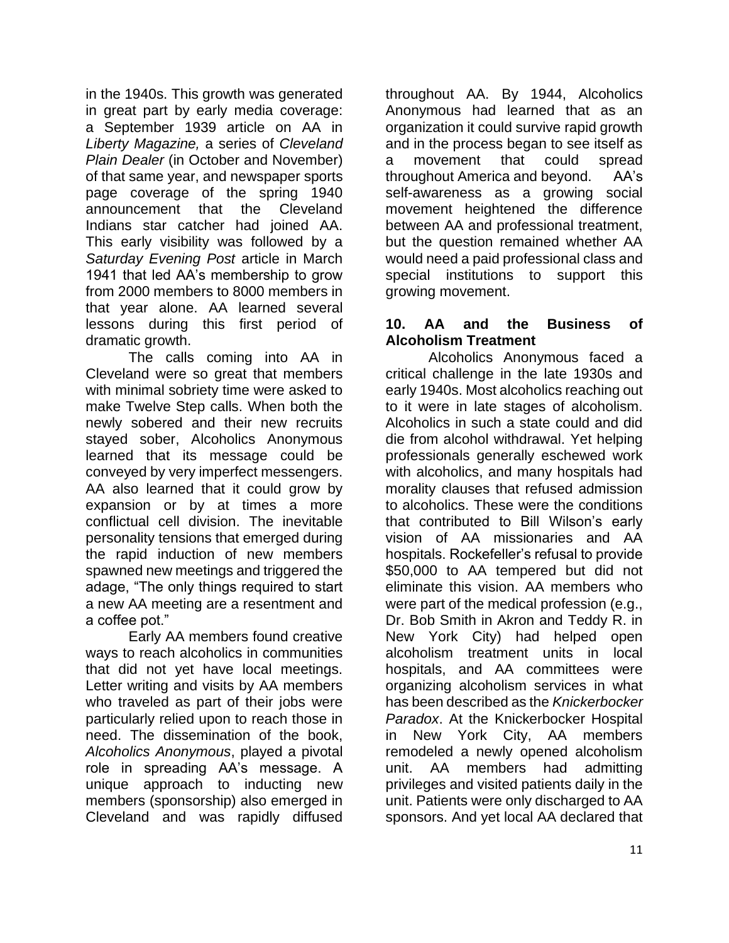in the 1940s. This growth was generated in great part by early media coverage: a September 1939 article on AA in *Liberty Magazine,* a series of *Cleveland Plain Dealer* (in October and November) of that same year, and newspaper sports page coverage of the spring 1940 announcement that the Cleveland Indians star catcher had joined AA. This early visibility was followed by a *Saturday Evening Post* article in March 1941 that led AA's membership to grow from 2000 members to 8000 members in that year alone. AA learned several lessons during this first period of dramatic growth.

The calls coming into AA in Cleveland were so great that members with minimal sobriety time were asked to make Twelve Step calls. When both the newly sobered and their new recruits stayed sober, Alcoholics Anonymous learned that its message could be conveyed by very imperfect messengers. AA also learned that it could grow by expansion or by at times a more conflictual cell division. The inevitable personality tensions that emerged during the rapid induction of new members spawned new meetings and triggered the adage, "The only things required to start a new AA meeting are a resentment and a coffee pot."

Early AA members found creative ways to reach alcoholics in communities that did not yet have local meetings. Letter writing and visits by AA members who traveled as part of their jobs were particularly relied upon to reach those in need. The dissemination of the book, *Alcoholics Anonymous*, played a pivotal role in spreading AA's message. A unique approach to inducting new members (sponsorship) also emerged in Cleveland and was rapidly diffused throughout AA. By 1944, Alcoholics Anonymous had learned that as an organization it could survive rapid growth and in the process began to see itself as a movement that could spread throughout America and beyond. AA's self-awareness as a growing social movement heightened the difference between AA and professional treatment, but the question remained whether AA would need a paid professional class and special institutions to support this growing movement.

#### **10. AA and the Business of Alcoholism Treatment**

Alcoholics Anonymous faced a critical challenge in the late 1930s and early 1940s. Most alcoholics reaching out to it were in late stages of alcoholism. Alcoholics in such a state could and did die from alcohol withdrawal. Yet helping professionals generally eschewed work with alcoholics, and many hospitals had morality clauses that refused admission to alcoholics. These were the conditions that contributed to Bill Wilson's early vision of AA missionaries and AA hospitals. Rockefeller's refusal to provide \$50,000 to AA tempered but did not eliminate this vision. AA members who were part of the medical profession (e.g., Dr. Bob Smith in Akron and Teddy R. in New York City) had helped open alcoholism treatment units in local hospitals, and AA committees were organizing alcoholism services in what has been described as the *Knickerbocker Paradox*. At the Knickerbocker Hospital in New York City, AA members remodeled a newly opened alcoholism unit. AA members had admitting privileges and visited patients daily in the unit. Patients were only discharged to AA sponsors. And yet local AA declared that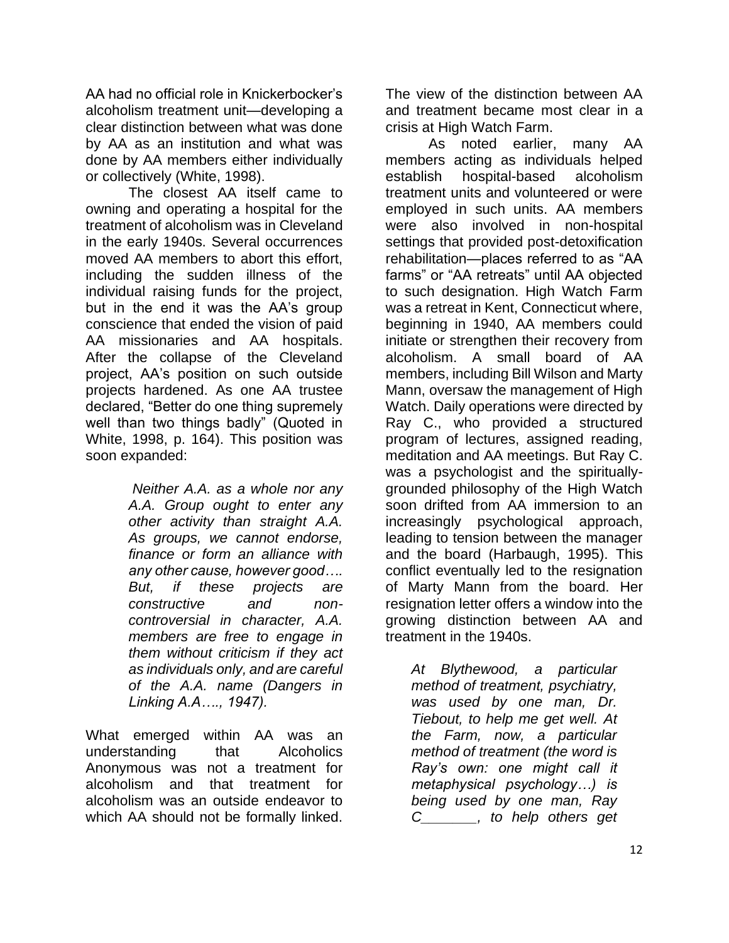AA had no official role in Knickerbocker's alcoholism treatment unit—developing a clear distinction between what was done by AA as an institution and what was done by AA members either individually or collectively (White, 1998).

The closest AA itself came to owning and operating a hospital for the treatment of alcoholism was in Cleveland in the early 1940s. Several occurrences moved AA members to abort this effort, including the sudden illness of the individual raising funds for the project, but in the end it was the AA's group conscience that ended the vision of paid AA missionaries and AA hospitals. After the collapse of the Cleveland project, AA's position on such outside projects hardened. As one AA trustee declared, "Better do one thing supremely well than two things badly" (Quoted in White, 1998, p. 164). This position was soon expanded:

> *Neither A.A. as a whole nor any A.A. Group ought to enter any other activity than straight A.A. As groups, we cannot endorse, finance or form an alliance with any other cause, however good…. But, if these projects are constructive and noncontroversial in character, A.A. members are free to engage in them without criticism if they act as individuals only, and are careful of the A.A. name (Dangers in Linking A.A…., 1947).*

What emerged within AA was an understanding that Alcoholics Anonymous was not a treatment for alcoholism and that treatment for alcoholism was an outside endeavor to which AA should not be formally linked. The view of the distinction between AA and treatment became most clear in a crisis at High Watch Farm.

As noted earlier, many AA members acting as individuals helped establish hospital-based alcoholism treatment units and volunteered or were employed in such units. AA members were also involved in non-hospital settings that provided post-detoxification rehabilitation—places referred to as "AA farms" or "AA retreats" until AA objected to such designation. High Watch Farm was a retreat in Kent, Connecticut where, beginning in 1940, AA members could initiate or strengthen their recovery from alcoholism. A small board of AA members, including Bill Wilson and Marty Mann, oversaw the management of High Watch. Daily operations were directed by Ray C., who provided a structured program of lectures, assigned reading, meditation and AA meetings. But Ray C. was a psychologist and the spirituallygrounded philosophy of the High Watch soon drifted from AA immersion to an increasingly psychological approach, leading to tension between the manager and the board (Harbaugh, 1995). This conflict eventually led to the resignation of Marty Mann from the board. Her resignation letter offers a window into the growing distinction between AA and treatment in the 1940s.

*At Blythewood, a particular method of treatment, psychiatry, was used by one man, Dr. Tiebout, to help me get well. At the Farm, now, a particular method of treatment (the word is Ray's own: one might call it metaphysical psychology…) is being used by one man, Ray C\_\_\_\_\_\_\_, to help others get*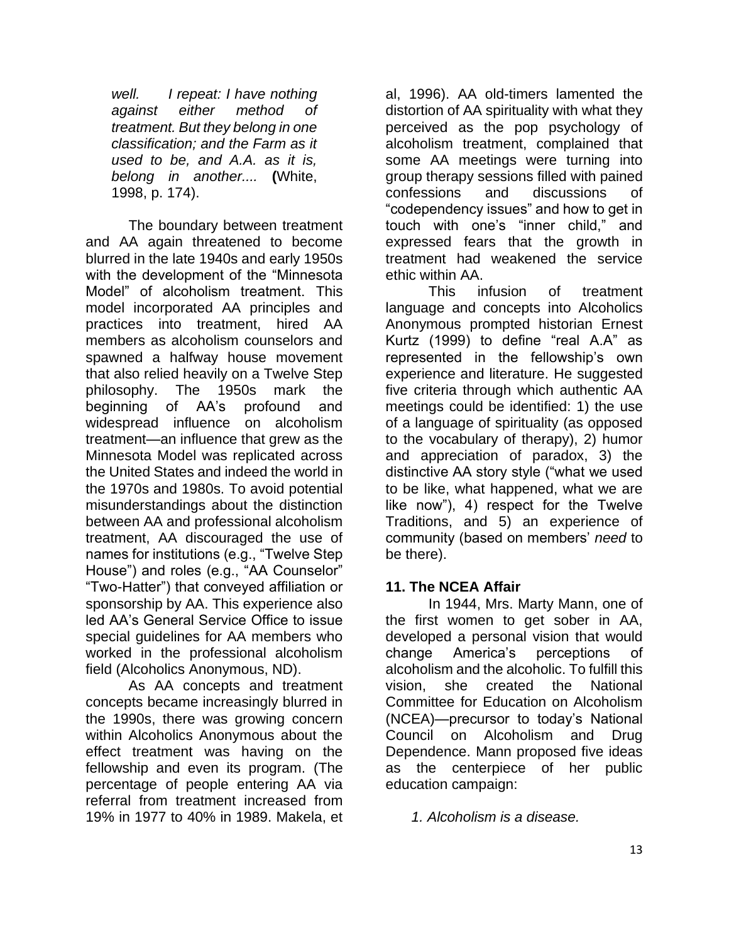*well. I repeat: I have nothing against either method of treatment. But they belong in one classification; and the Farm as it used to be, and A.A. as it is, belong in another....* **(**White, 1998, p. 174).

The boundary between treatment and AA again threatened to become blurred in the late 1940s and early 1950s with the development of the "Minnesota Model" of alcoholism treatment. This model incorporated AA principles and practices into treatment, hired AA members as alcoholism counselors and spawned a halfway house movement that also relied heavily on a Twelve Step philosophy. The 1950s mark the beginning of AA's profound and widespread influence on alcoholism treatment—an influence that grew as the Minnesota Model was replicated across the United States and indeed the world in the 1970s and 1980s. To avoid potential misunderstandings about the distinction between AA and professional alcoholism treatment, AA discouraged the use of names for institutions (e.g., "Twelve Step House") and roles (e.g., "AA Counselor" "Two-Hatter") that conveyed affiliation or sponsorship by AA. This experience also led AA's General Service Office to issue special guidelines for AA members who worked in the professional alcoholism field (Alcoholics Anonymous, ND).

As AA concepts and treatment concepts became increasingly blurred in the 1990s, there was growing concern within Alcoholics Anonymous about the effect treatment was having on the fellowship and even its program. (The percentage of people entering AA via referral from treatment increased from 19% in 1977 to 40% in 1989. Makela, et al, 1996). AA old-timers lamented the distortion of AA spirituality with what they perceived as the pop psychology of alcoholism treatment, complained that some AA meetings were turning into group therapy sessions filled with pained confessions and discussions of "codependency issues" and how to get in touch with one's "inner child," and expressed fears that the growth in treatment had weakened the service ethic within AA.

This infusion of treatment language and concepts into Alcoholics Anonymous prompted historian Ernest Kurtz (1999) to define "real A.A" as represented in the fellowship's own experience and literature. He suggested five criteria through which authentic AA meetings could be identified: 1) the use of a language of spirituality (as opposed to the vocabulary of therapy), 2) humor and appreciation of paradox, 3) the distinctive AA story style ("what we used to be like, what happened, what we are like now"), 4) respect for the Twelve Traditions, and 5) an experience of community (based on members' *need* to be there).

#### **11. The NCEA Affair**

In 1944, Mrs. Marty Mann, one of the first women to get sober in AA, developed a personal vision that would change America's perceptions of alcoholism and the alcoholic. To fulfill this vision, she created the National Committee for Education on Alcoholism (NCEA)—precursor to today's National Council on Alcoholism and Drug Dependence. Mann proposed five ideas as the centerpiece of her public education campaign:

*1. Alcoholism is a disease.*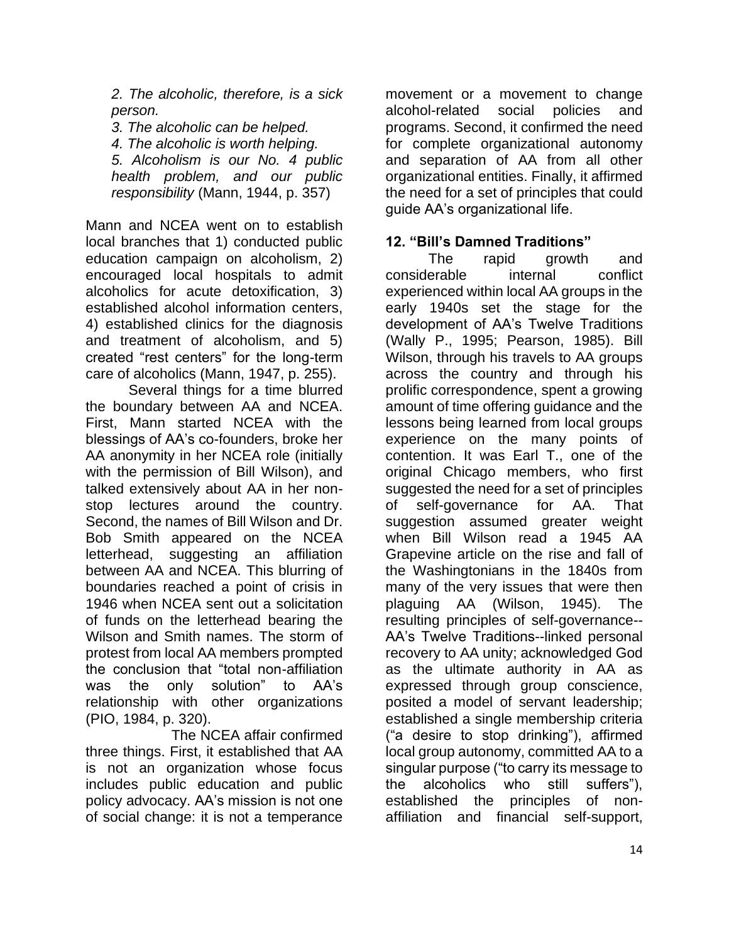*2. The alcoholic, therefore, is a sick person.*

*3. The alcoholic can be helped.*

*4. The alcoholic is worth helping.*

*5. Alcoholism is our No. 4 public health problem, and our public responsibility* (Mann, 1944, p. 357)

Mann and NCEA went on to establish local branches that 1) conducted public education campaign on alcoholism, 2) encouraged local hospitals to admit alcoholics for acute detoxification, 3) established alcohol information centers, 4) established clinics for the diagnosis and treatment of alcoholism, and 5) created "rest centers" for the long-term care of alcoholics (Mann, 1947, p. 255).

Several things for a time blurred the boundary between AA and NCEA. First, Mann started NCEA with the blessings of AA's co-founders, broke her AA anonymity in her NCEA role (initially with the permission of Bill Wilson), and talked extensively about AA in her nonstop lectures around the country. Second, the names of Bill Wilson and Dr. Bob Smith appeared on the NCEA letterhead, suggesting an affiliation between AA and NCEA. This blurring of boundaries reached a point of crisis in 1946 when NCEA sent out a solicitation of funds on the letterhead bearing the Wilson and Smith names. The storm of protest from local AA members prompted the conclusion that "total non-affiliation was the only solution" to AA's relationship with other organizations (PIO, 1984, p. 320).

 The NCEA affair confirmed three things. First, it established that AA is not an organization whose focus includes public education and public policy advocacy. AA's mission is not one of social change: it is not a temperance movement or a movement to change alcohol-related social policies and programs. Second, it confirmed the need for complete organizational autonomy and separation of AA from all other organizational entities. Finally, it affirmed the need for a set of principles that could guide AA's organizational life.

# **12. "Bill's Damned Traditions"**

The rapid growth and considerable internal conflict experienced within local AA groups in the early 1940s set the stage for the development of AA's Twelve Traditions (Wally P., 1995; Pearson, 1985). Bill Wilson, through his travels to AA groups across the country and through his prolific correspondence, spent a growing amount of time offering guidance and the lessons being learned from local groups experience on the many points of contention. It was Earl T., one of the original Chicago members, who first suggested the need for a set of principles of self-governance for AA. That suggestion assumed greater weight when Bill Wilson read a 1945 AA Grapevine article on the rise and fall of the Washingtonians in the 1840s from many of the very issues that were then plaguing AA (Wilson, 1945). The resulting principles of self-governance-- AA's Twelve Traditions--linked personal recovery to AA unity; acknowledged God as the ultimate authority in AA as expressed through group conscience, posited a model of servant leadership; established a single membership criteria ("a desire to stop drinking"), affirmed local group autonomy, committed AA to a singular purpose ("to carry its message to the alcoholics who still suffers"), established the principles of nonaffiliation and financial self-support,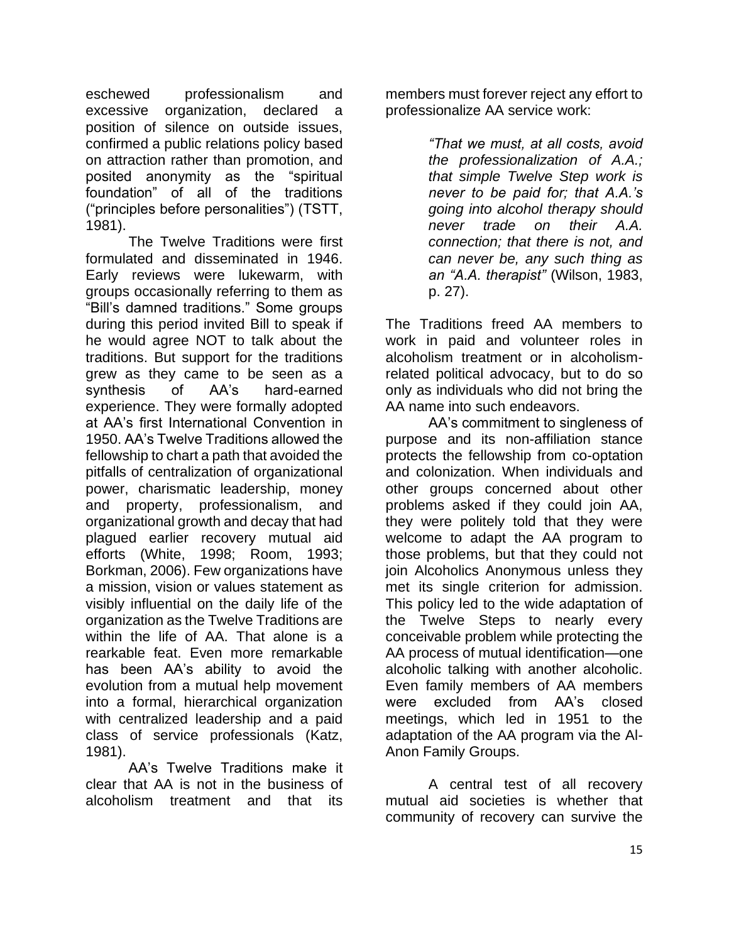eschewed professionalism and excessive organization, declared a position of silence on outside issues, confirmed a public relations policy based on attraction rather than promotion, and posited anonymity as the "spiritual foundation" of all of the traditions ("principles before personalities") (TSTT, 1981).

The Twelve Traditions were first formulated and disseminated in 1946. Early reviews were lukewarm, with groups occasionally referring to them as "Bill's damned traditions." Some groups during this period invited Bill to speak if he would agree NOT to talk about the traditions. But support for the traditions grew as they came to be seen as a synthesis of AA's hard-earned experience. They were formally adopted at AA's first International Convention in 1950. AA's Twelve Traditions allowed the fellowship to chart a path that avoided the pitfalls of centralization of organizational power, charismatic leadership, money and property, professionalism, and organizational growth and decay that had plagued earlier recovery mutual aid efforts (White, 1998; Room, 1993; Borkman, 2006). Few organizations have a mission, vision or values statement as visibly influential on the daily life of the organization as the Twelve Traditions are within the life of AA. That alone is a rearkable feat. Even more remarkable has been AA's ability to avoid the evolution from a mutual help movement into a formal, hierarchical organization with centralized leadership and a paid class of service professionals (Katz, 1981).

AA's Twelve Traditions make it clear that AA is not in the business of alcoholism treatment and that its

members must forever reject any effort to professionalize AA service work:

> *"That we must, at all costs, avoid the professionalization of A.A.; that simple Twelve Step work is never to be paid for; that A.A.'s going into alcohol therapy should never trade on their A.A. connection; that there is not, and can never be, any such thing as an "A.A. therapist"* (Wilson, 1983, p. 27).

The Traditions freed AA members to work in paid and volunteer roles in alcoholism treatment or in alcoholismrelated political advocacy, but to do so only as individuals who did not bring the AA name into such endeavors.

AA's commitment to singleness of purpose and its non-affiliation stance protects the fellowship from co-optation and colonization. When individuals and other groups concerned about other problems asked if they could join AA, they were politely told that they were welcome to adapt the AA program to those problems, but that they could not join Alcoholics Anonymous unless they met its single criterion for admission. This policy led to the wide adaptation of the Twelve Steps to nearly every conceivable problem while protecting the AA process of mutual identification—one alcoholic talking with another alcoholic. Even family members of AA members were excluded from AA's closed meetings, which led in 1951 to the adaptation of the AA program via the Al-Anon Family Groups.

A central test of all recovery mutual aid societies is whether that community of recovery can survive the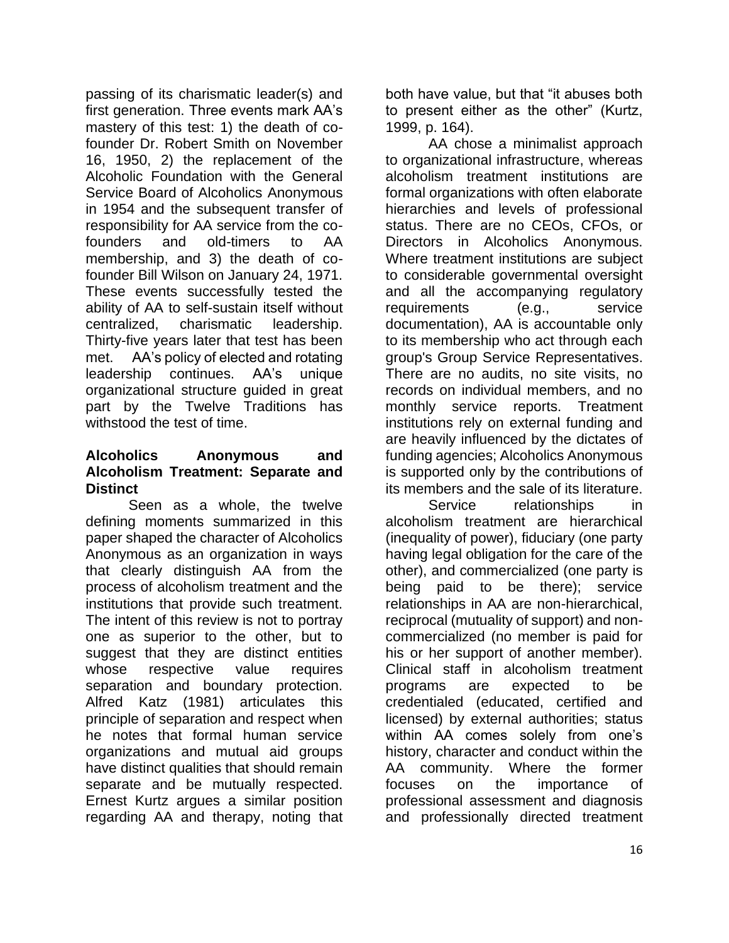passing of its charismatic leader(s) and first generation. Three events mark AA's mastery of this test: 1) the death of cofounder Dr. Robert Smith on November 16, 1950, 2) the replacement of the Alcoholic Foundation with the General Service Board of Alcoholics Anonymous in 1954 and the subsequent transfer of responsibility for AA service from the cofounders and old-timers to AA membership, and 3) the death of cofounder Bill Wilson on January 24, 1971. These events successfully tested the ability of AA to self-sustain itself without centralized, charismatic leadership. Thirty-five years later that test has been met. AA's policy of elected and rotating leadership continues. AA's unique organizational structure guided in great part by the Twelve Traditions has withstood the test of time.

## **Alcoholics Anonymous and Alcoholism Treatment: Separate and Distinct**

Seen as a whole, the twelve defining moments summarized in this paper shaped the character of Alcoholics Anonymous as an organization in ways that clearly distinguish AA from the process of alcoholism treatment and the institutions that provide such treatment. The intent of this review is not to portray one as superior to the other, but to suggest that they are distinct entities whose respective value requires separation and boundary protection. Alfred Katz (1981) articulates this principle of separation and respect when he notes that formal human service organizations and mutual aid groups have distinct qualities that should remain separate and be mutually respected. Ernest Kurtz argues a similar position regarding AA and therapy, noting that both have value, but that "it abuses both to present either as the other" (Kurtz, 1999, p. 164).

AA chose a minimalist approach to organizational infrastructure, whereas alcoholism treatment institutions are formal organizations with often elaborate hierarchies and levels of professional status. There are no CEOs, CFOs, or Directors in Alcoholics Anonymous. Where treatment institutions are subject to considerable governmental oversight and all the accompanying regulatory requirements (e.g., service documentation), AA is accountable only to its membership who act through each group's Group Service Representatives. There are no audits, no site visits, no records on individual members, and no monthly service reports. Treatment institutions rely on external funding and are heavily influenced by the dictates of funding agencies; Alcoholics Anonymous is supported only by the contributions of its members and the sale of its literature.

Service relationships in alcoholism treatment are hierarchical (inequality of power), fiduciary (one party having legal obligation for the care of the other), and commercialized (one party is being paid to be there); service relationships in AA are non-hierarchical, reciprocal (mutuality of support) and noncommercialized (no member is paid for his or her support of another member). Clinical staff in alcoholism treatment programs are expected to be credentialed (educated, certified and licensed) by external authorities; status within AA comes solely from one's history, character and conduct within the AA community. Where the former focuses on the importance of professional assessment and diagnosis and professionally directed treatment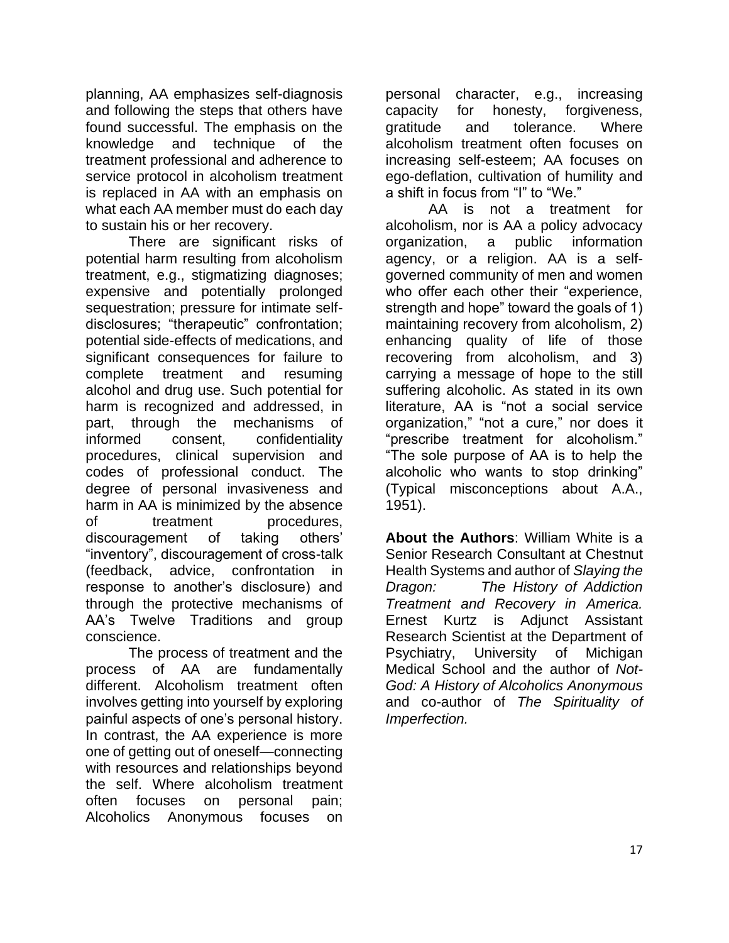planning, AA emphasizes self-diagnosis and following the steps that others have found successful. The emphasis on the knowledge and technique of the treatment professional and adherence to service protocol in alcoholism treatment is replaced in AA with an emphasis on what each AA member must do each day to sustain his or her recovery.

There are significant risks of potential harm resulting from alcoholism treatment, e.g., stigmatizing diagnoses; expensive and potentially prolonged sequestration; pressure for intimate selfdisclosures; "therapeutic" confrontation; potential side-effects of medications, and significant consequences for failure to complete treatment and resuming alcohol and drug use. Such potential for harm is recognized and addressed, in part, through the mechanisms of informed consent, confidentiality procedures, clinical supervision and codes of professional conduct. The degree of personal invasiveness and harm in AA is minimized by the absence of treatment procedures, discouragement of taking others' "inventory", discouragement of cross-talk (feedback, advice, confrontation in response to another's disclosure) and through the protective mechanisms of AA's Twelve Traditions and group conscience.

The process of treatment and the process of AA are fundamentally different. Alcoholism treatment often involves getting into yourself by exploring painful aspects of one's personal history. In contrast, the AA experience is more one of getting out of oneself—connecting with resources and relationships beyond the self. Where alcoholism treatment often focuses on personal pain; Alcoholics Anonymous focuses on

personal character, e.g., increasing capacity for honesty, forgiveness, gratitude and tolerance. Where alcoholism treatment often focuses on increasing self-esteem; AA focuses on ego-deflation, cultivation of humility and a shift in focus from "I" to "We."

 AA is not a treatment for alcoholism, nor is AA a policy advocacy organization, a public information agency, or a religion. AA is a selfgoverned community of men and women who offer each other their "experience, strength and hope" toward the goals of 1) maintaining recovery from alcoholism, 2) enhancing quality of life of those recovering from alcoholism, and 3) carrying a message of hope to the still suffering alcoholic. As stated in its own literature, AA is "not a social service organization," "not a cure," nor does it "prescribe treatment for alcoholism." "The sole purpose of AA is to help the alcoholic who wants to stop drinking" (Typical misconceptions about A.A., 1951).

**About the Authors**: William White is a Senior Research Consultant at Chestnut Health Systems and author of *Slaying the Dragon: The History of Addiction Treatment and Recovery in America.*  Ernest Kurtz is Adjunct Assistant Research Scientist at the Department of Psychiatry, University of Michigan Medical School and the author of *Not-God: A History of Alcoholics Anonymous*  and co-author of *The Spirituality of Imperfection.*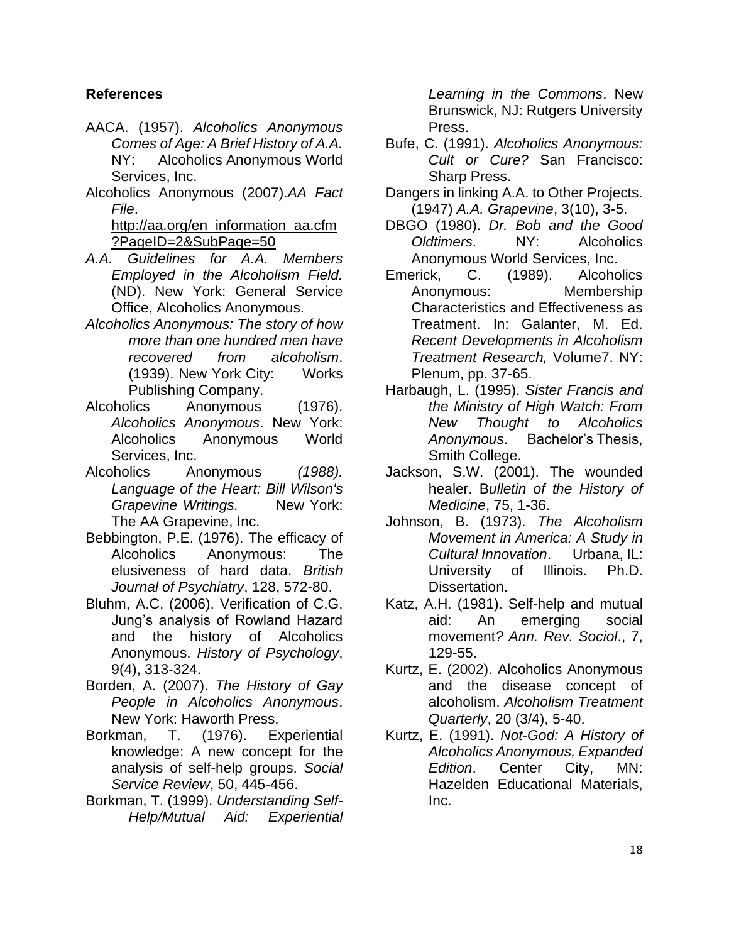#### **References**

- AACA. (1957). *Alcoholics Anonymous Comes of Age: A Brief History of A.A.* NY: Alcoholics Anonymous World Services, Inc.
- Alcoholics Anonymous (2007).*AA Fact File*.

[http://aa.org/en\\_information\\_aa.cfm](http://aa.org/en_information_aa.cfm?PageID=2&SubPage=50) [?PageID=2&SubPage=50](http://aa.org/en_information_aa.cfm?PageID=2&SubPage=50)

- *A.A. Guidelines for A.A. Members Employed in the Alcoholism Field.* (ND). New York: General Service Office, Alcoholics Anonymous.
- *Alcoholics Anonymous: The story of how more than one hundred men have recovered from alcoholism*. (1939). New York City: Works Publishing Company.
- Alcoholics Anonymous (1976). *Alcoholics Anonymous*. New York: Alcoholics Anonymous World Services, Inc.
- Alcoholics Anonymous *(1988). Language of the Heart: Bill Wilson's Grapevine Writings.* New York: The AA Grapevine, Inc.
- Bebbington, P.E. (1976). The efficacy of Alcoholics Anonymous: The elusiveness of hard data. *British Journal of Psychiatry*, 128, 572-80.
- Bluhm, A.C. (2006). Verification of C.G. Jung's analysis of Rowland Hazard and the history of Alcoholics Anonymous. *History of Psychology*, 9(4), 313-324.
- Borden, A. (2007). *The History of Gay People in Alcoholics Anonymous*. New York: Haworth Press.
- Borkman, T. (1976). Experiential knowledge: A new concept for the analysis of self-help groups. *Social Service Review*, 50, 445-456.
- Borkman, T. (1999). *Understanding Self-Help/Mutual Aid: Experiential*

*Learning in the Commons*. New Brunswick, NJ: Rutgers University Press.

- Bufe, C. (1991). *Alcoholics Anonymous: Cult or Cure?* San Francisco: Sharp Press.
- Dangers in linking A.A. to Other Projects. (1947) *A.A. Grapevine*, 3(10), 3-5.
- DBGO (1980). *Dr. Bob and the Good Oldtimers*. NY: Alcoholics Anonymous World Services, Inc.
- Emerick, C. (1989). Alcoholics Anonymous: Membership Characteristics and Effectiveness as Treatment. In: Galanter, M. Ed. *Recent Developments in Alcoholism Treatment Research,* Volume7. NY: Plenum, pp. 37-65.
- Harbaugh, L. (1995). *Sister Francis and the Ministry of High Watch: From New Thought to Alcoholics Anonymous*. Bachelor's Thesis, Smith College.
- Jackson, S.W. (2001). The wounded healer. B*ulletin of the History of Medicine*, 75, 1-36.
- Johnson, B. (1973). *The Alcoholism Movement in America: A Study in Cultural Innovation*. Urbana, IL: University of Illinois. Ph.D. Dissertation.
- Katz, A.H. (1981). Self-help and mutual aid: An emerging social movement*? Ann. Rev. Sociol*., 7, 129-55.
- Kurtz, E. (2002). Alcoholics Anonymous and the disease concept of alcoholism. *Alcoholism Treatment Quarterly*, 20 (3/4), 5-40.
- Kurtz, E. (1991). *Not-God: A History of Alcoholics Anonymous, Expanded Edition*. Center City, MN: Hazelden Educational Materials, Inc.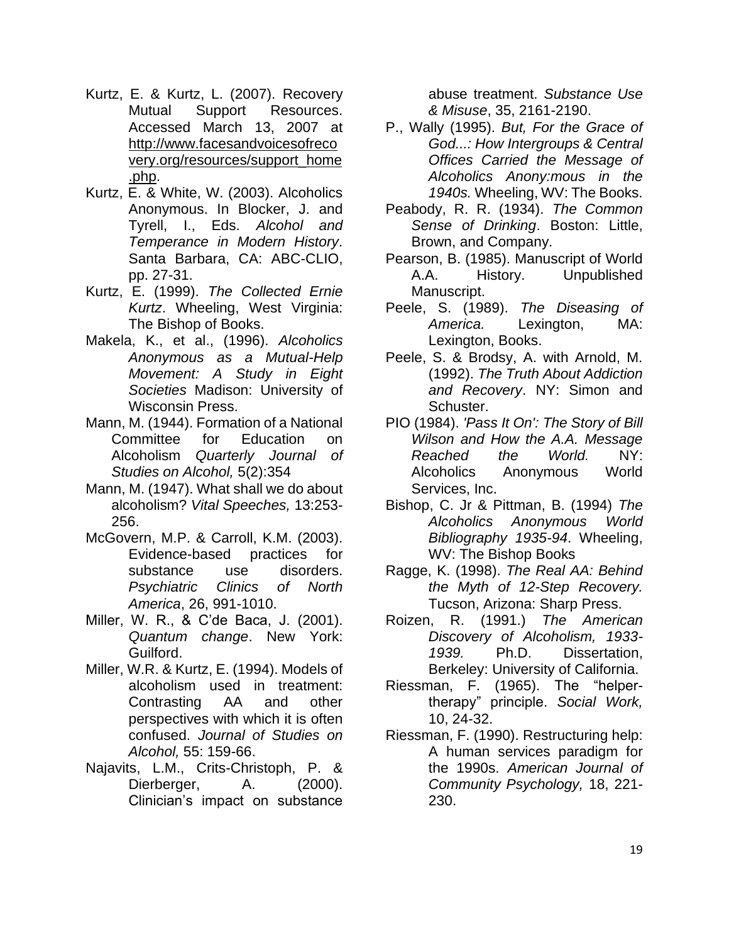- Kurtz, E. & Kurtz, L. (2007). Recovery Mutual Support Resources. Accessed March 13, 2007 at [http://www.facesandvoicesofreco](http://www.facesandvoicesofrecovery.org/resources/support_home.php) [very.org/resources/support\\_home](http://www.facesandvoicesofrecovery.org/resources/support_home.php) [.php.](http://www.facesandvoicesofrecovery.org/resources/support_home.php)
- Kurtz, E. & White, W. (2003). Alcoholics Anonymous. In Blocker, J. and Tyrell, I., Eds. *Alcohol and Temperance in Modern History*. Santa Barbara, CA: ABC-CLIO, pp. 27-31.
- Kurtz, E. (1999). *The Collected Ernie Kurtz*. Wheeling, West Virginia: The Bishop of Books.
- Makela, K., et al., (1996). *Alcoholics Anonymous as a Mutual-Help Movement: A Study in Eight Societies* Madison: University of Wisconsin Press.
- Mann, M. (1944). Formation of a National Committee for Education on Alcoholism *Quarterly Journal of Studies on Alcohol,* 5(2):354
- Mann, M. (1947). What shall we do about alcoholism? *Vital Speeches,* 13:253- 256.
- McGovern, M.P. & Carroll, K.M. (2003). Evidence-based practices for substance use disorders. *Psychiatric Clinics of North America*, 26, 991-1010.
- Miller, W. R., & C'de Baca, J. (2001). *Quantum change*. New York: Guilford.
- Miller, W.R. & Kurtz, E. (1994). Models of alcoholism used in treatment: Contrasting AA and other perspectives with which it is often confused. *Journal of Studies on Alcohol,* 55: 159-66.
- Najavits, L.M., Crits-Christoph, P. & Dierberger, A. (2000). Clinician's impact on substance

abuse treatment. *Substance Use & Misuse*, 35, 2161-2190.

- P., Wally (1995). *But, For the Grace of God...: How Intergroups & Central Offices Carried the Message of Alcoholics Anony:mous in the 1940s.* Wheeling, WV: The Books.
- Peabody, R. R. (1934). *The Common Sense of Drinking*. Boston: Little, Brown, and Company.
- Pearson, B. (1985). Manuscript of World A.A. History. Unpublished Manuscript.
- Peele, S. (1989). *The Diseasing of America.* Lexington, MA: Lexington, Books.
- Peele, S. & Brodsy, A. with Arnold, M. (1992). *The Truth About Addiction and Recovery*. NY: Simon and Schuster.
- PIO (1984). *'Pass It On': The Story of Bill Wilson and How the A.A. Message Reached the World.* NY: Alcoholics Anonymous World Services, Inc.
- Bishop, C. Jr & Pittman, B. (1994) *The Alcoholics Anonymous World Bibliography 1935-94*. Wheeling, WV: The Bishop Books
- Ragge, K. (1998). *The Real AA: Behind the Myth of 12-Step Recovery.*  Tucson, Arizona: Sharp Press.
- Roizen, R. (1991.) *The American Discovery of Alcoholism, 1933- 1939.* Ph.D. Dissertation, Berkeley: University of California.
- Riessman, F. (1965). The "helpertherapy" principle. *Social Work,* 10, 24-32.
- Riessman, F. (1990). Restructuring help: A human services paradigm for the 1990s. *American Journal of Community Psychology,* 18, 221- 230.